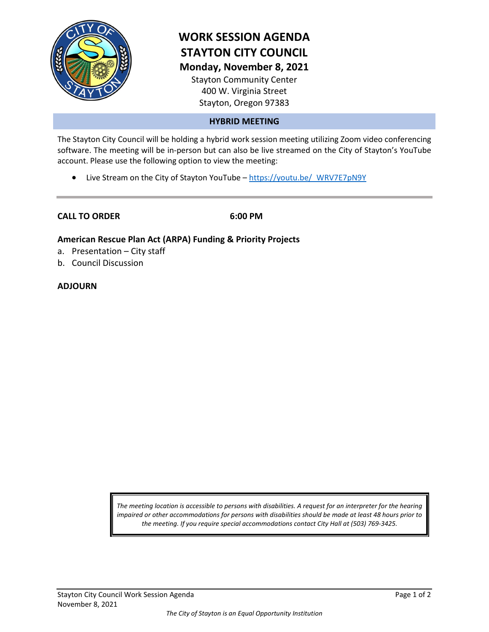

# **WORK SESSION AGENDA STAYTON CITY COUNCIL Monday, November 8, 2021**

Stayton Community Center 400 W. Virginia Street Stayton, Oregon 97383

## **HYBRID MEETING**

The Stayton City Council will be holding a hybrid work session meeting utilizing Zoom video conferencing software. The meeting will be in-person but can also be live streamed on the City of Stayton's YouTube account. Please use the following option to view the meeting:

• Live Stream on the City of Stayton YouTube – https://youtu.be/ WRV7E7pN9Y

**CALL TO ORDER 6:00 PM**

## **American Rescue Plan Act (ARPA) Funding & Priority Projects**

- a. Presentation City staff
- b. Council Discussion

#### **ADJOURN**

*The meeting location is accessible to persons with disabilities. A request for an interpreter for the hearing impaired or other accommodations for persons with disabilities should be made at least 48 hours prior to the meeting. If you require special accommodations contact City Hall at (503) 769-3425.*